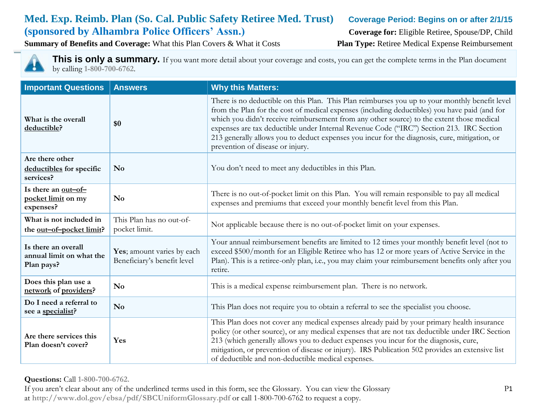# **Med. Exp. Reimb. Plan (So. Cal. Public Safety Retiree Med. Trust) Coverage Period: Begins on or after 2/1/15 (sponsored by Alhambra Police Officers' Assn.) Coverage for:** Eligible Retiree, Spouse/DP, Child

**Summary of Benefits and Coverage:** What this Plan Covers & What it Costs **Plan Type:** Retiree Medical Expense Reimbursement



This is only a summary. If you want more detail about your coverage and costs, you can get the complete terms in the Plan document by calling **1-800-700-6762**.

| <b>Important Questions</b>                                                                                                            | <b>Answers</b>                            | <b>Why this Matters:</b>                                                                                                                                                                                                                                                                                                                                                                                                                                                                                                      |  |
|---------------------------------------------------------------------------------------------------------------------------------------|-------------------------------------------|-------------------------------------------------------------------------------------------------------------------------------------------------------------------------------------------------------------------------------------------------------------------------------------------------------------------------------------------------------------------------------------------------------------------------------------------------------------------------------------------------------------------------------|--|
| What is the overall<br>deductible?                                                                                                    | \$0                                       | There is no deductible on this Plan. This Plan reimburses you up to your monthly benefit level<br>from the Plan for the cost of medical expenses (including deductibles) you have paid (and for<br>which you didn't receive reimbursement from any other source) to the extent those medical<br>expenses are tax deductible under Internal Revenue Code ("IRC") Section 213. IRC Section<br>213 generally allows you to deduct expenses you incur for the diagnosis, cure, mitigation, or<br>prevention of disease or injury. |  |
| Are there other<br>deductibles for specific<br>services?                                                                              | N <sub>0</sub>                            | You don't need to meet any deductibles in this Plan.                                                                                                                                                                                                                                                                                                                                                                                                                                                                          |  |
| Is there an out-of-<br>pocket limit on my<br>expenses?                                                                                | N <sub>0</sub>                            | There is no out-of-pocket limit on this Plan. You will remain responsible to pay all medical<br>expenses and premiums that exceed your monthly benefit level from this Plan.                                                                                                                                                                                                                                                                                                                                                  |  |
| What is not included in<br>the out-of-pocket limit?                                                                                   | This Plan has no out-of-<br>pocket limit. | Not applicable because there is no out-of-pocket limit on your expenses.                                                                                                                                                                                                                                                                                                                                                                                                                                                      |  |
| Is there an overall<br>Yes; amount varies by each<br>annual limit on what the<br>Beneficiary's benefit level<br>Plan pays?<br>retire. |                                           | Your annual reimbursement benefits are limited to 12 times your monthly benefit level (not to<br>exceed \$500/month for an Eligible Retiree who has 12 or more years of Active Service in the<br>Plan). This is a retiree-only plan, i.e., you may claim your reimbursement benefits only after you                                                                                                                                                                                                                           |  |
| Does this plan use a<br>network of providers?                                                                                         | N <sub>o</sub>                            | This is a medical expense reimbursement plan. There is no network.                                                                                                                                                                                                                                                                                                                                                                                                                                                            |  |
| Do I need a referral to<br>see a specialist?                                                                                          | N <sub>0</sub>                            | This Plan does not require you to obtain a referral to see the specialist you choose.                                                                                                                                                                                                                                                                                                                                                                                                                                         |  |
| Are there services this<br>Plan doesn't cover?                                                                                        | Yes                                       | This Plan does not cover any medical expenses already paid by your primary health insurance<br>policy (or other source), or any medical expenses that are not tax deductible under IRC Section<br>213 (which generally allows you to deduct expenses you incur for the diagnosis, cure,<br>mitigation, or prevention of disease or injury). IRS Publication 502 provides an extensive list<br>of deductible and non-deductible medical expenses.                                                                              |  |

**Questions:** Call **1-800-700-6762.** 

If you aren't clear about any of the underlined terms used in this form, see the Glossary. You can view the Glossary P1 at **http://www.dol.gov/ebsa/pdf/SBCUniformGlossary.pdf** or call 1-800-700-6762 to request a copy.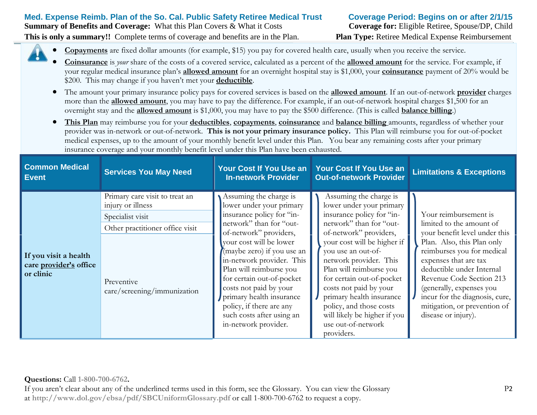#### **Questions:** Call **1-800-700-6762.**  If you aren't clear about any of the underlined terms used in this form, see the Glossary. You can view the Glossary P2 at **http://www.dol.gov/ebsa/pdf/SBCUniformGlossary.pdf** or call 1-800-700-6762 to request a copy.

|                                                              |                                                                                                                                                         |                                                                                                                                                                                                                                                                                                                                                                                                                           | <b>PHI PHIPIPPIN LYTHU</b>                                                                                                                                                                                                                                                                                                                                                                                                       |                                                                                                                                                                                                                                                                                                                                                       |
|--------------------------------------------------------------|---------------------------------------------------------------------------------------------------------------------------------------------------------|---------------------------------------------------------------------------------------------------------------------------------------------------------------------------------------------------------------------------------------------------------------------------------------------------------------------------------------------------------------------------------------------------------------------------|----------------------------------------------------------------------------------------------------------------------------------------------------------------------------------------------------------------------------------------------------------------------------------------------------------------------------------------------------------------------------------------------------------------------------------|-------------------------------------------------------------------------------------------------------------------------------------------------------------------------------------------------------------------------------------------------------------------------------------------------------------------------------------------------------|
| If you visit a health<br>care provider's office<br>or clinic | Primary care visit to treat an<br>injury or illness<br>Specialist visit<br>Other practitioner office visit<br>Preventive<br>care/screening/immunization | Assuming the charge is<br>lower under your primary<br>insurance policy for "in-<br>network" than for "out-<br>of-network" providers,<br>your cost will be lower<br>(maybe zero) if you use an<br>in-network provider. This<br>Plan will reimburse you<br>for certain out-of-pocket<br>costs not paid by your<br>primary health insurance<br>policy, if there are any<br>such costs after using an<br>in-network provider. | Assuming the charge is<br>lower under your primary<br>insurance policy for "in-<br>network" than for "out-<br>of-network" providers,<br>your cost will be higher if<br>you use an out-of-<br>network provider. This<br>Plan will reimburse you<br>for certain out-of-pocket<br>costs not paid by your<br>primary health insurance<br>policy, and those costs<br>will likely be higher if you<br>use out-of-network<br>providers. | Your reimbursement is<br>limited to the amount of<br>your benefit level under this<br>Plan. Also, this Plan only<br>reimburses you for medical<br>expenses that are tax<br>deductible under Internal<br>Revenue Code Section 213<br>(generally, expenses you<br>incur for the diagnosis, cure,<br>mitigation, or prevention of<br>disease or injury). |

**In-network Provider**

 **This Plan** may reimburse you for your **deductibles**, **copayments**, **coinsurance** and **balance billing** amounts, regardless of whether your provider was in-network or out-of-network. **This is not your primary insurance policy.** This Plan will reimburse you for out-of-pocket medical expenses, up to the amount of your monthly benefit level under this Plan. You bear any remaining costs after your primary insurance coverage and your monthly benefit level under this Plan have been exhausted.

**Your Cost If You Use an** 

**Out-of-network Provider Limitations & Exceptions**

more than the **allowed amount**, you may have to pay the difference. For example, if an out-of-network hospital charges \$1,500 for an

your regular medical insurance plan's **allowed amount** for an overnight hospital stay is \$1,000, your **coinsurance** payment of 20% would be \$200. This may change if you haven't met your **deductible**. The amount your primary insurance policy pays for covered services is based on the **allowed amount**. If an out-of-network **provider** charges

 **Copayments** are fixed dollar amounts (for example, \$15) you pay for covered health care, usually when you receive the service. **Coinsurance** is *your* share of the costs of a covered service, calculated as a percent of the **allowed amount** for the service. For example, if

overnight stay and the **allowed amount** is \$1,000, you may have to pay the \$500 difference. (This is called **balance billing**.)

**Summary of Benefits and Coverage:** What this Plan Covers & What it Costs **Coverage for:** Eligible Retiree, Spouse/DP, Child **This is only a summary!!** Complete terms of coverage and benefits are in the Plan. **Plan Type:** Retiree Medical Expense Reimbursement

**Event Services You May Need Your Cost If You Use an** 

**Common Medical** 

**Med. Expense Reimb. Plan of the So. Cal. Public Safety Retiree Medical Trust Coverage Period: Begins on or after 2/1/15**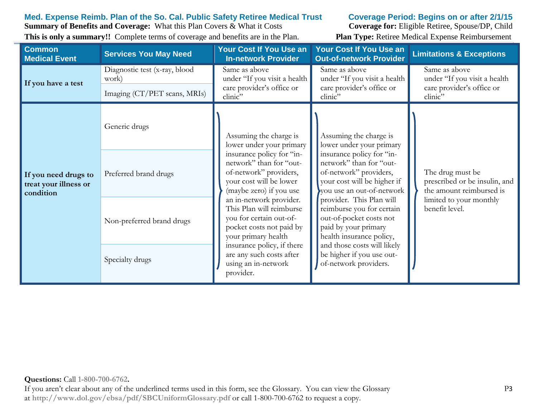# **Med. Expense Reimb. Plan of the So. Cal. Public Safety Retiree Medical Trust Coverage Period: Begins on or after 2/1/15**

**Summary of Benefits and Coverage:** What this Plan Covers & What it Costs **Coverage for:** Eligible Retiree, Spouse/DP, Child **This is only a summary!!** Complete terms of coverage and benefits are in the Plan. **Plan Type:** Retiree Medical Expense Reimbursement

| <b>Common</b><br><b>Medical Event</b>                      | <b>Services You May Need</b>                                           | Your Cost If You Use an<br><b>In-network Provider</b>                                                                                                                                                                                                                     | <b>Your Cost If You Use an</b><br><b>Out-of-network Provider</b>                                                                                                                                                                                                                                                                         | <b>Limitations &amp; Exceptions</b>                                                   |
|------------------------------------------------------------|------------------------------------------------------------------------|---------------------------------------------------------------------------------------------------------------------------------------------------------------------------------------------------------------------------------------------------------------------------|------------------------------------------------------------------------------------------------------------------------------------------------------------------------------------------------------------------------------------------------------------------------------------------------------------------------------------------|---------------------------------------------------------------------------------------|
| If you have a test                                         | Diagnostic test (x-ray, blood<br>work)<br>Imaging (CT/PET scans, MRIs) | Same as above<br>under "If you visit a health<br>care provider's office or<br>clinic"                                                                                                                                                                                     | Same as above<br>under "If you visit a health  <br>care provider's office or<br>clinic"                                                                                                                                                                                                                                                  | Same as above<br>under "If you visit a health<br>care provider's office or<br>clinic" |
|                                                            | Generic drugs                                                          | Assuming the charge is<br>lower under your primary                                                                                                                                                                                                                        | Assuming the charge is<br>lower under your primary<br>insurance policy for "in-<br>network" than for "out-<br>of-network" providers,<br>your cost will be higher if<br>you use an out-of-network<br>provider. This Plan will<br>reimburse you for certain<br>out-of-pocket costs not<br>paid by your primary<br>health insurance policy, |                                                                                       |
| If you need drugs to<br>treat your illness or<br>condition | Preferred brand drugs                                                  | insurance policy for "in-<br>network" than for "out-<br>of-network" providers,<br>your cost will be lower<br>(maybe zero) if you use<br>an in-network provider.<br>This Plan will reimburse<br>you for certain out-of-<br>pocket costs not paid by<br>your primary health |                                                                                                                                                                                                                                                                                                                                          | The drug must be<br>prescribed or be insulin, and<br>the amount reimbursed is         |
|                                                            | Non-preferred brand drugs                                              |                                                                                                                                                                                                                                                                           |                                                                                                                                                                                                                                                                                                                                          | limited to your monthly<br>benefit level.                                             |
|                                                            | Specialty drugs                                                        | insurance policy, if there<br>are any such costs after<br>using an in-network<br>provider.                                                                                                                                                                                | and those costs will likely<br>be higher if you use out-<br>of-network providers.                                                                                                                                                                                                                                                        |                                                                                       |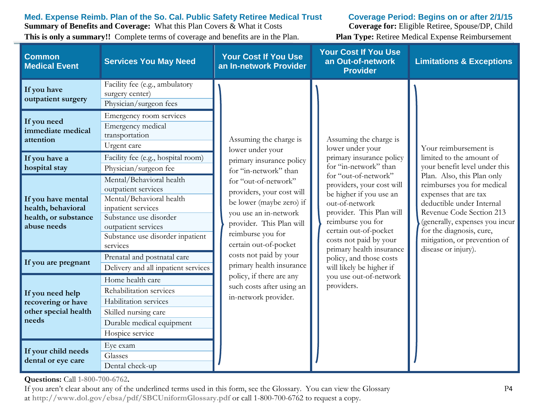**Med. Expense Reimb. Plan of the So. Cal. Public Safety Retiree Medical Trust Coverage Period: Begins on or after 2/1/15**

**Summary of Benefits and Coverage:** What this Plan Covers & What it Costs **Coverage for:** Eligible Retiree, Spouse/DP, Child **This is only a summary!!** Complete terms of coverage and benefits are in the Plan. **Plan Type:** Retiree Medical Expense Reimbursement

| <b>Common</b><br><b>Medical Event</b>                                                                                | <b>Services You May Need</b>                                                                                                                                                                       | <b>Your Cost If You Use</b><br>an In-network Provider                                                                                                                                                                                  | <b>Your Cost If You Use</b><br>an Out-of-network<br><b>Provider</b>                                                                                                                                                                                                                                                                        | <b>Limitations &amp; Exceptions</b>                                                                                                                                                                                                                                                                                                                   |
|----------------------------------------------------------------------------------------------------------------------|----------------------------------------------------------------------------------------------------------------------------------------------------------------------------------------------------|----------------------------------------------------------------------------------------------------------------------------------------------------------------------------------------------------------------------------------------|--------------------------------------------------------------------------------------------------------------------------------------------------------------------------------------------------------------------------------------------------------------------------------------------------------------------------------------------|-------------------------------------------------------------------------------------------------------------------------------------------------------------------------------------------------------------------------------------------------------------------------------------------------------------------------------------------------------|
| If you have<br>outpatient surgery                                                                                    | Facility fee (e.g., ambulatory<br>surgery center)<br>Physician/surgeon fees                                                                                                                        |                                                                                                                                                                                                                                        |                                                                                                                                                                                                                                                                                                                                            |                                                                                                                                                                                                                                                                                                                                                       |
| If you need<br>immediate medical<br>attention                                                                        | Emergency room services<br>Emergency medical<br>transportation<br>Urgent care                                                                                                                      | Assuming the charge is<br>lower under your                                                                                                                                                                                             | Assuming the charge is<br>lower under your                                                                                                                                                                                                                                                                                                 | Your reimbursement is<br>limited to the amount of<br>your benefit level under this<br>Plan. Also, this Plan only<br>reimburses you for medical<br>expenses that are tax<br>deductible under Internal<br>Revenue Code Section 213<br>(generally, expenses you incur<br>for the diagnosis, cure,<br>mitigation, or prevention of<br>disease or injury). |
| If you have a<br>hospital stay                                                                                       | Facility fee (e.g., hospital room)<br>Physician/surgeon fee                                                                                                                                        | primary insurance policy<br>for "in-network" than                                                                                                                                                                                      | primary insurance policy<br>for "in-network" than<br>for "out-of-network"<br>providers, your cost will<br>be higher if you use an<br>out-of-network<br>provider. This Plan will<br>reimburse you for<br>certain out-of-pocket<br>costs not paid by your<br>primary health insurance<br>policy, and those costs<br>will likely be higher if |                                                                                                                                                                                                                                                                                                                                                       |
| If you have mental<br>health, behavioral<br>health, or substance<br>abuse needs                                      | Mental/Behavioral health<br>outpatient services<br>Mental/Behavioral health<br>inpatient services<br>Substance use disorder<br>outpatient services<br>Substance use disorder inpatient<br>services | for "out-of-network"<br>providers, your cost will<br>be lower (maybe zero) if<br>you use an in-network<br>provider. This Plan will<br>reimburse you for<br>certain out-of-pocket<br>costs not paid by your<br>primary health insurance |                                                                                                                                                                                                                                                                                                                                            |                                                                                                                                                                                                                                                                                                                                                       |
| If you are pregnant                                                                                                  | Prenatal and postnatal care<br>Delivery and all inpatient services                                                                                                                                 |                                                                                                                                                                                                                                        |                                                                                                                                                                                                                                                                                                                                            |                                                                                                                                                                                                                                                                                                                                                       |
| If you need help<br>recovering or have<br>other special health<br>needs<br>If your child needs<br>dental or eye care | Home health care<br>Rehabilitation services<br>Habilitation services<br>Skilled nursing care<br>Durable medical equipment<br>Hospice service<br>Eye exam<br>Glasses<br>Dental check-up             | policy, if there are any<br>such costs after using an<br>in-network provider.                                                                                                                                                          | you use out-of-network<br>providers.                                                                                                                                                                                                                                                                                                       |                                                                                                                                                                                                                                                                                                                                                       |

**Questions:** Call **1-800-700-6762.** 

If you aren't clear about any of the underlined terms used in this form, see the Glossary. You can view the Glossary P4 at **http://www.dol.gov/ebsa/pdf/SBCUniformGlossary.pdf** or call 1-800-700-6762 to request a copy.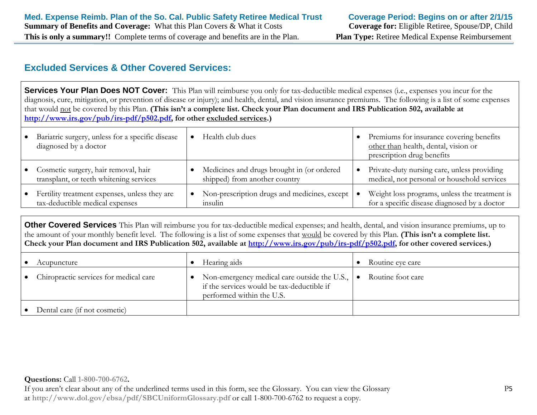# **Excluded Services & Other Covered Services:**

**Services Your Plan Does NOT Cover:** This Plan will reimburse you only for tax-deductible medical expenses (i.e., expenses you incur for the diagnosis, cure, mitigation, or prevention of disease or injury); and health, dental, and vision insurance premiums. The following is a list of some expenses that would not be covered by this Plan. **(This isn't a complete list. Check your Plan document and IRS Publication 502, available at http://www.irs.gov/pub/irs-pdf/p502.pdf, for other excluded services.)** 

| $\bullet$ | Bariatric surgery, unless for a specific disease<br>diagnosed by a doctor        | Health club dues                                                            |           | Premiums for insurance covering benefits<br>other than health, dental, vision or<br>prescription drug benefits |
|-----------|----------------------------------------------------------------------------------|-----------------------------------------------------------------------------|-----------|----------------------------------------------------------------------------------------------------------------|
|           | Cosmetic surgery, hair removal, hair<br>transplant, or teeth whitening services  | Medicines and drugs brought in (or ordered<br>shipped) from another country | $\bullet$ | Private-duty nursing care, unless providing<br>medical, not personal or household services                     |
| $\bullet$ | Fertility treatment expenses, unless they are<br>tax-deductible medical expenses | Non-prescription drugs and medicines, except  <br>insulin                   |           | Weight loss programs, unless the treatment is<br>for a specific disease diagnosed by a doctor                  |

**Other Covered Services** This Plan will reimburse you for tax-deductible medical expenses; and health, dental, and vision insurance premiums, up to the amount of your monthly benefit level. The following is a list of some expenses that would be covered by this Plan. **(This isn't a complete list. Check your Plan document and IRS Publication 502, available at http://www.irs.gov/pub/irs-pdf/p502.pdf, for other covered services.)** 

| Acupuncture                            | Hearing aids                                                                                                                                  | Routine eye care  |
|----------------------------------------|-----------------------------------------------------------------------------------------------------------------------------------------------|-------------------|
| Chiropractic services for medical care | Non-emergency medical care outside the U.S., $\vert \bullet \vert$<br>if the services would be tax-deductible if<br>performed within the U.S. | Routine foot care |
| Dental care (if not cosmetic)          |                                                                                                                                               |                   |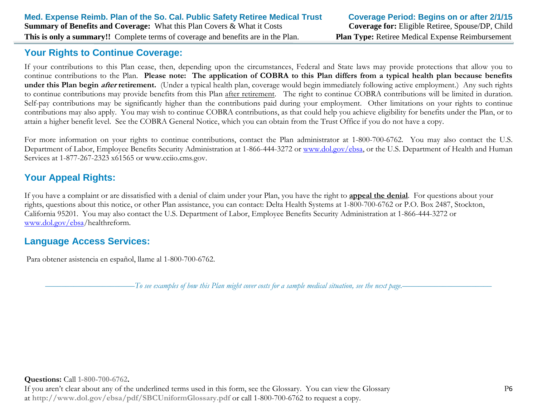# **Your Rights to Continue Coverage:**

If your contributions to this Plan cease, then, depending upon the circumstances, Federal and State laws may provide protections that allow you to continue contributions to the Plan. **Please note: The application of COBRA to this Plan differs from a typical health plan because benefits under this Plan begin after retirement.** (Under a typical health plan, coverage would begin immediately following active employment.) Any such rights to continue contributions may provide benefits from this Plan after retirement. The right to continue COBRA contributions will be limited in duration. Self-pay contributions may be significantly higher than the contributions paid during your employment. Other limitations on your rights to continue contributions may also apply. You may wish to continue COBRA contributions, as that could help you achieve eligibility for benefits under the Plan, or to attain a higher benefit level. See the COBRA General Notice, which you can obtain from the Trust Office if you do not have a copy.

For more information on your rights to continue contributions, contact the Plan administrator at 1-800-700-6762. You may also contact the U.S. Department of Labor, Employee Benefits Security Administration at 1-866-444-3272 or [www.dol.gov/ebsa,](http://www.dol.gov/ebsa) or the U.S. Department of Health and Human Services at 1-877-267-2323 x61565 or www.cciio.cms.gov.

# **Your Appeal Rights:**

If you have a complaint or are dissatisfied with a denial of claim under your Plan, you have the right to **appeal the denial**. For questions about your rights, questions about this notice, or other Plan assistance, you can contact: Delta Health Systems at 1-800-700-6762 or P.O. Box 2487, Stockton, California 95201. You may also contact the U.S. Department of Labor, Employee Benefits Security Administration at 1-866-444-3272 or [www.dol.gov/ebsa/](http://www.dol.gov/ebsa)healthreform.

# **Language Access Services:**

Para obtener asistencia en español, llame al 1-800-700-6762.

––––––––––––––––––––––*To see examples of how this Plan might cover costs for a sample medical situation, see the next page.–––––––––––*–––––––––––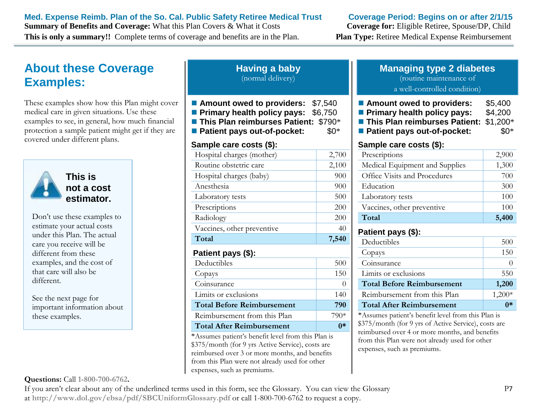### **Med. Expense Reimb. Plan of the So. Cal. Public Safety Retiree Medical Trust Coverage Period: Begins on or after 2/1/15**

**Summary of Benefits and Coverage:** What this Plan Covers & What it Costs **Coverage for:** Eligible Retiree, Spouse/DP, Child **This is only a summary!!** Complete terms of coverage and benefits are in the Plan. **Plan Type:** Retiree Medical Expense Reimbursement

# **About these Coverage Examples:**

These examples show how this Plan might cover medical care in given situations. Use these examples to see, in general, how much financial protection a sample patient might get if they are covered under different plans.



**This is not a cost estimator.** 

Don't use these examples to estimate your actual costs under this Plan. The actual care you receive will be different from these examples, and the cost of that care will also be different.

See the next page for important information about these examples.

### **Questions:** Call **1-800-700-6762.**

| (normal delivery)                                                                         |  |
|-------------------------------------------------------------------------------------------|--|
| ■ Amount owed to providers: \$7,540                                                       |  |
| <b>Primary health policy pays: \$6,750</b><br><b>This Plan reimburses Patient: \$790*</b> |  |

**Having a baby**

**Patient pays out-of-pocket:** \$0\*

### **Sample care costs (\$):**

| Hospital charges (mother)                                     | 2,700          |
|---------------------------------------------------------------|----------------|
| Routine obstetric care                                        | 2,100          |
| Hospital charges (baby)                                       | 900            |
| Anesthesia                                                    | 900            |
| Laboratory tests                                              | 500            |
| Prescriptions                                                 | 200            |
| Radiology                                                     | 200            |
| Vaccines, other preventive                                    | 40             |
| Total                                                         | 7,540          |
| Patient pays (\$):                                            |                |
| Deductibles                                                   | 500            |
| Copays                                                        | 150            |
| Coinsurance                                                   | $\overline{0}$ |
| Limits or exclusions                                          | 140            |
| <b>Total Before Reimbursement</b>                             | 790            |
| Reimbursement from this Plan                                  | 790*           |
| <b>Total After Reimbursement</b>                              | $0*$           |
| $*$ $\Lambda$ course period's benefit level from this Dlap is |                |

\*Assumes patient's benefit level from this Plan is \$375/month (for 9 yrs Active Service), costs are reimbursed over 3 or more months, and benefits from this Plan were not already used for other expenses, such as premiums.

# **Managing type 2 diabetes**

(routine maintenance of

#### a well-controlled condition)

- Amount owed to providers: \$5,400
- **Primary health policy pays: \$4,200**
- **This Plan reimburses Patient:** \$1,200\*
- **Patient pays out-of-pocket:** \$0\*

### **Sample care costs (\$):**

| Prescriptions                  | 2,900 |
|--------------------------------|-------|
| Medical Equipment and Supplies | 1,300 |
| Office Visits and Procedures   | 700   |
| Education                      | 300   |
| Laboratory tests               | 100   |
| Vaccines, other preventive     | 100   |
| Total                          | 5,400 |

# **Patient pays (\$):**

| Deductibles                       | 500      |
|-----------------------------------|----------|
| Copays                            | 150      |
| Coinsurance                       |          |
| Limits or exclusions              | 550      |
| <b>Total Before Reimbursement</b> | 1,200    |
| Reimbursement from this Plan      | $1,200*$ |
| <b>Total After Reimbursement</b>  |          |

\*Assumes patient's benefit level from this Plan is \$375/month (for 9 yrs of Active Service), costs are reimbursed over 4 or more months, and benefits from this Plan were not already used for other expenses, such as premiums.

If you aren't clear about any of the underlined terms used in this form, see the Glossary. You can view the Glossary P7 at **http://www.dol.gov/ebsa/pdf/SBCUniformGlossary.pdf** or call 1-800-700-6762 to request a copy.